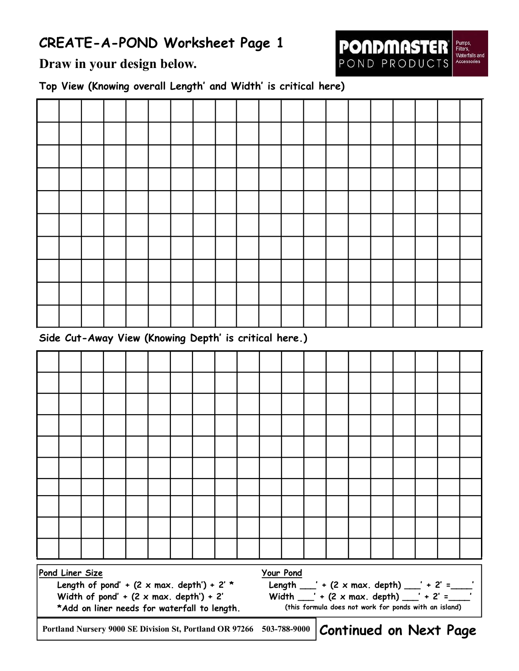## **CREATE-A-POND Worksheet Page 1**



**Draw in your design below.** 

**Top View (Knowing overall Length' and Width' is critical here)** 

| Side Cut-Away View (Knowing Depth' is critical here.) |  |  |  |  |  |  |  |  |  |  |  |  |  |  |
|-------------------------------------------------------|--|--|--|--|--|--|--|--|--|--|--|--|--|--|

**Continued on Next Page Pond Liner Size Length of pond' + (2 x max. depth') + 2' \* Width of pond' + (2 x max. depth') + 2' \*Add on liner needs for waterfall to length. Your Pond Length \_\_\_' + (2 x max. depth) \_\_\_' + 2' =\_\_\_\_' Width \_\_\_' + (2 x max. depth) \_\_\_' + 2' =\_\_\_\_' (this formula does not work for ponds with an island) Portland Nursery 9000 SE Division St, Portland OR 97266 5037889000**